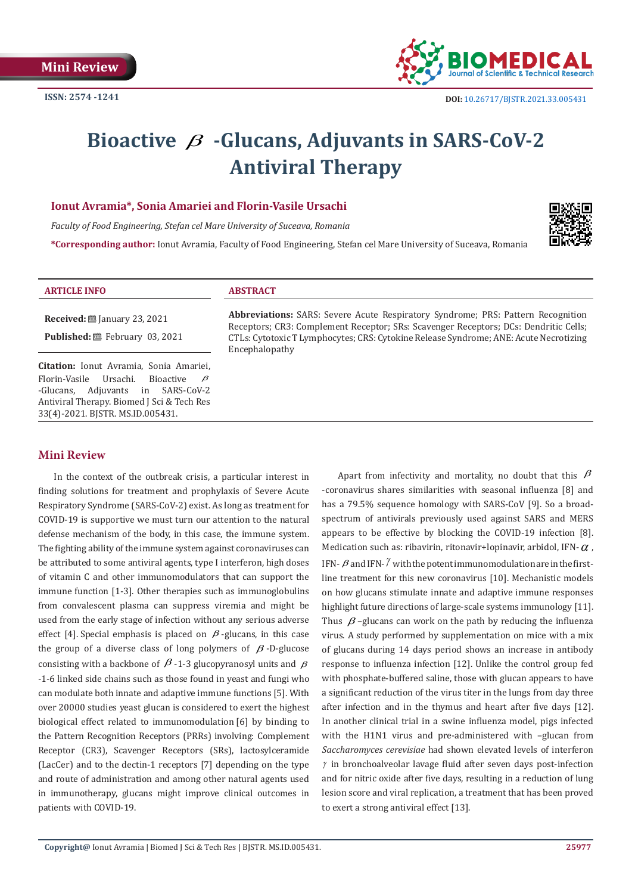

# **Bioactive** β **-Glucans, Adjuvants in SARS-CoV-2 Antiviral Therapy**

## **Ionut Avramia\*, Sonia Amariei and Florin-Vasile Ursachi**

*Faculty of Food Engineering, Stefan cel Mare University of Suceava, Romania*

**\*Corresponding author:** Ionut Avramia, Faculty of Food Engineering, Stefan cel Mare University of Suceava, Romania



### **ARTICLE INFO ABSTRACT**

**Received:** January 23, 2021 **Published:** 巴 February 03, 2021

**Citation:** Ionut Avramia, Sonia Amariei,<br>Florin-Vasile Ursachi. Bioactive *B* Florin-Vasile Ursachi. I<br>-Glucans. Adiuvants in SARS-CoV-2 Antiviral Therapy. Biomed J Sci & Tech Res 33(4)-2021. BJSTR. MS.ID.005431.

## **Abbreviations:** SARS: Severe Acute Respiratory Syndrome; PRS: Pattern Recognition Receptors; CR3: Complement Receptor; SRs: Scavenger Receptors; DCs: Dendritic Cells; CTLs: Cytotoxic T Lymphocytes; CRS: Cytokine Release Syndrome; ANE: Acute Necrotizing Encephalopathy

# **Mini Review**

In the context of the outbreak crisis, a particular interest in finding solutions for treatment and prophylaxis of Severe Acute Respiratory Syndrome (SARS-CoV-2) exist. As long as treatment for COVID-19 is supportive we must turn our attention to the natural defense mechanism of the body, in this case, the immune system. The fighting ability of the immune system against coronaviruses can be attributed to some antiviral agents, type I interferon, high doses of vitamin C and other immunomodulators that can support the immune function [1-3]. Other therapies such as immunoglobulins from convalescent plasma can suppress viremia and might be used from the early stage of infection without any serious adverse effect [4]. Special emphasis is placed on  $\beta$ -glucans, in this case the group of a diverse class of long polymers of  $\beta$ -D-glucose consisting with a backbone of  $\beta$  -1-3 glucopyranosyl units and  $\beta$ -1-6 linked side chains such as those found in yeast and fungi who can modulate both innate and adaptive immune functions [5]. With over 20000 studies yeast glucan is considered to exert the highest biological effect related to immunomodulation [6] by binding to the Pattern Recognition Receptors (PRRs) involving: Complement Receptor (CR3), Scavenger Receptors (SRs), lactosylceramide (LacCer) and to the dectin-1 receptors [7] depending on the type and route of administration and among other natural agents used in immunotherapy, glucans might improve clinical outcomes in patients with COVID-19.

Apart from infectivity and mortality, no doubt that this  $\beta$ -coronavirus shares similarities with seasonal influenza [8] and has a 79.5% sequence homology with SARS-CoV [9]. So a broadspectrum of antivirals previously used against SARS and MERS appears to be effective by blocking the COVID-19 infection [8]. Medication such as: ribavirin, ritonavir+lopinavir, arbidol, IFN- $\alpha$ , IFN- $\beta$  and IFN- $\gamma$  with the potent immunomodulation are in the firstline treatment for this new coronavirus [10]. Mechanistic models on how glucans stimulate innate and adaptive immune responses highlight future directions of large-scale systems immunology [11]. Thus  $\beta$  –glucans can work on the path by reducing the influenza virus. A study performed by supplementation on mice with a mix of glucans during 14 days period shows an increase in antibody response to influenza infection [12]. Unlike the control group fed with phosphate-buffered saline, those with glucan appears to have a significant reduction of the virus titer in the lungs from day three after infection and in the thymus and heart after five days [12]. In another clinical trial in a swine influenza model, pigs infected with the H1N1 virus and pre-administered with –glucan from *Saccharomyces cerevisiae* had shown elevated levels of interferon  $\gamma$  in bronchoalveolar lavage fluid after seven days post-infection and for nitric oxide after five days, resulting in a reduction of lung lesion score and viral replication, a treatment that has been proved to exert a strong antiviral effect [13].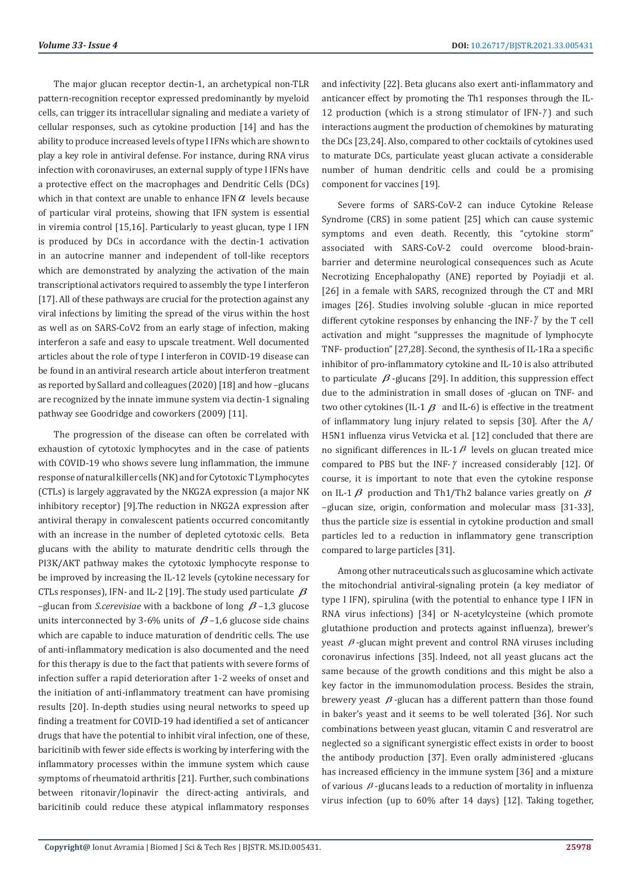The major glucan receptor dectin-1, an archetypical non-TLR pattern-recognition receptor expressed predominantly by myeloid cells, can trigger its intracellular signaling and mediate a variety of cellular responses, such as cytokine production [14] and has the ability to produce increased levels of type I IFNs which are shown to play a key role in antiviral defense. For instance, during RNA virus infection with coronaviruses, an external supply of type I IFNs have a protective effect on the macrophages and Dendritic Cells (DCs) which in that context are unable to enhance IFN $\alpha$  levels because of particular viral proteins, showing that IFN system is essential in viremia control [15,16]. Particularly to yeast glucan, type I IFN is produced by DCs in accordance with the dectin-1 activation in an autocrine manner and independent of toll-like receptors which are demonstrated by analyzing the activation of the main transcriptional activators required to assembly the type I interferon [17]. All of these pathways are crucial for the protection against any viral infections by limiting the spread of the virus within the host as well as on SARS-CoV2 from an early stage of infection, making interferon a safe and easy to upscale treatment. Well documented articles about the role of type I interferon in COVID-19 disease can be found in an antiviral research article about interferon treatment as reported by Sallard and colleagues (2020) [18] and how –glucans are recognized by the innate immune system via dectin-1 signaling pathway see Goodridge and coworkers (2009) [11].

The progression of the disease can often be correlated with exhaustion of cytotoxic lymphocytes and in the case of patients with COVID-19 who shows severe lung inflammation, the immune response of natural killer cells (NK) and for Cytotoxic T Lymphocytes (CTLs) is largely aggravated by the NKG2A expression (a major NK inhibitory receptor) [9].The reduction in NKG2A expression after antiviral therapy in convalescent patients occurred concomitantly with an increase in the number of depleted cytotoxic cells. Beta glucans with the ability to maturate dendritic cells through the PI3K/AKT pathway makes the cytotoxic lymphocyte response to be improved by increasing the IL-12 levels (cytokine necessary for CTLs responses), IFN- and IL-2 [19]. The study used particulate  $\beta$  $-$ glucan from *S.cerevisiae* with a backbone of long  $\beta$  –1,3 glucose units interconnected by 3-6% units of  $\beta$  –1,6 glucose side chains which are capable to induce maturation of dendritic cells. The use of anti-inflammatory medication is also documented and the need for this therapy is due to the fact that patients with severe forms of infection suffer a rapid deterioration after 1-2 weeks of onset and the initiation of anti-inflammatory treatment can have promising results [20]. In-depth studies using neural networks to speed up finding a treatment for COVID-19 had identified a set of anticancer drugs that have the potential to inhibit viral infection, one of these, baricitinib with fewer side effects is working by interfering with the inflammatory processes within the immune system which cause symptoms of rheumatoid arthritis [21]. Further, such combinations between ritonavir/lopinavir the direct-acting antivirals, and baricitinib could reduce these atypical inflammatory responses

and infectivity [22]. Beta glucans also exert anti-inflammatory and anticancer effect by promoting the Th1 responses through the IL-12 production (which is a strong stimulator of  $IFN-\gamma$ ) and such interactions augment the production of chemokines by maturating the DCs [23,24]. Also, compared to other cocktails of cytokines used to maturate DCs, particulate yeast glucan activate a considerable number of human dendritic cells and could be a promising component for vaccines [19].

Severe forms of SARS-CoV-2 can induce Cytokine Release Syndrome (CRS) in some patient [25] which can cause systemic symptoms and even death. Recently, this "cytokine storm" associated with SARS-CoV-2 could overcome blood-brainbarrier and determine neurological consequences such as Acute Necrotizing Encephalopathy (ANE) reported by Poyiadji et al. [26] in a female with SARS, recognized through the CT and MRI images [26]. Studies involving soluble -glucan in mice reported different cytokine responses by enhancing the INF- $\gamma$  by the T cell activation and might "suppresses the magnitude of lymphocyte TNF- production" [27,28]. Second, the synthesis of IL-1Ra a specific inhibitor of pro-inflammatory cytokine and IL-10 is also attributed to particulate  $\beta$ -glucans [29]. In addition, this suppression effect due to the administration in small doses of -glucan on TNF- and two other cytokines (IL-1  $\beta$  and IL-6) is effective in the treatment of inflammatory lung injury related to sepsis [30]. After the A/ H5N1 influenza virus Vetvicka et al. [12] concluded that there are no significant differences in IL-1 $\beta$  levels on glucan treated mice compared to PBS but the INF-γ increased considerably [12]. Of course, it is important to note that even the cytokine response on IL-1  $\beta$  production and Th1/Th2 balance varies greatly on  $\beta$ –glucan size, origin, conformation and molecular mass [31-33], thus the particle size is essential in cytokine production and small particles led to a reduction in inflammatory gene transcription compared to large particles [31].

Among other nutraceuticals such as glucosamine which activate the mitochondrial antiviral-signaling protein (a key mediator of type I IFN), spirulina (with the potential to enhance type I IFN in RNA virus infections) [34] or N-acetylcysteine (which promote glutathione production and protects against influenza), brewer's yeast  $\beta$ -glucan might prevent and control RNA viruses including coronavirus infections [35]. Indeed, not all yeast glucans act the same because of the growth conditions and this might be also a key factor in the immunomodulation process. Besides the strain, brewery yeast  $\beta$ -glucan has a different pattern than those found in baker's yeast and it seems to be well tolerated [36]. Nor such combinations between yeast glucan, vitamin C and resveratrol are neglected so a significant synergistic effect exists in order to boost the antibody production [37]. Even orally administered -glucans has increased efficiency in the immune system [36] and a mixture of various  $\beta$ -glucans leads to a reduction of mortality in influenza virus infection (up to 60% after 14 days) [12]. Taking together,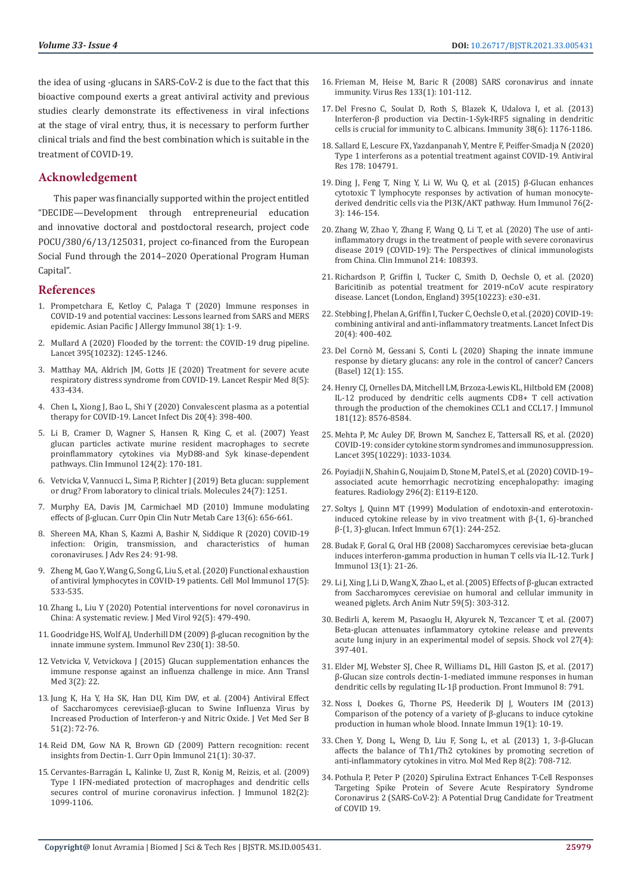the idea of using -glucans in SARS-CoV-2 is due to the fact that this bioactive compound exerts a great antiviral activity and previous studies clearly demonstrate its effectiveness in viral infections at the stage of viral entry, thus, it is necessary to perform further clinical trials and find the best combination which is suitable in the treatment of COVID-19.

# **Acknowledgement**

This paper was financially supported within the project entitled "DECIDE—Development through entrepreneurial education and innovative doctoral and postdoctoral research, project code POCU/380/6/13/125031, project co-financed from the European Social Fund through the 2014–2020 Operational Program Human Capital".

## **References**

- 1. [Prompetchara E, Ketloy C, Palaga T \(2020\) Immune responses in](https://pubmed.ncbi.nlm.nih.gov/32105090/)  [COVID-19 and potential vaccines: Lessons learned from SARS and MERS](https://pubmed.ncbi.nlm.nih.gov/32105090/)  [epidemic. Asian Pacific J Allergy Immunol 38\(1\): 1-9.](https://pubmed.ncbi.nlm.nih.gov/32105090/)
- 2. [Mullard A \(2020\) Flooded by the torrent: the COVID-19 drug pipeline.](https://pubmed.ncbi.nlm.nih.gov/32305088/)  [Lancet 395\(10232\): 1245-1246.](https://pubmed.ncbi.nlm.nih.gov/32305088/)
- 3. [Matthay MA, Aldrich JM, Gotts JE \(2020\) Treatment for severe acute](https://pubmed.ncbi.nlm.nih.gov/32203709/)  [respiratory distress syndrome from COVID-19. Lancet Respir Med 8\(5\):](https://pubmed.ncbi.nlm.nih.gov/32203709/)  [433-434.](https://pubmed.ncbi.nlm.nih.gov/32203709/)
- 4. [Chen L, Xiong J, Bao L, Shi Y \(2020\) Convalescent plasma as a potential](https://pubmed.ncbi.nlm.nih.gov/32113510/)  [therapy for COVID-19. Lancet Infect Dis 20\(4\): 398-400.](https://pubmed.ncbi.nlm.nih.gov/32113510/)
- 5. [Li B, Cramer D, Wagner S, Hansen R, King C, et al. \(2007\) Yeast](https://pubmed.ncbi.nlm.nih.gov/17572156/)  [glucan particles activate murine resident macrophages to secrete](https://pubmed.ncbi.nlm.nih.gov/17572156/)  [proinflammatory cytokines via MyD88-and Syk kinase-dependent](https://pubmed.ncbi.nlm.nih.gov/17572156/)  [pathways. Clin Immunol 124\(2\): 170-181.](https://pubmed.ncbi.nlm.nih.gov/17572156/)
- 6. [Vetvicka V, Vannucci L, Sima P, Richter J \(2019\) Beta glucan: supplement](https://pubmed.ncbi.nlm.nih.gov/30935016/)  [or drug? From laboratory to clinical trials. Molecules 24\(7\): 1251.](https://pubmed.ncbi.nlm.nih.gov/30935016/)
- 7. [Murphy EA, Davis JM, Carmichael MD \(2010\) Immune modulating](https://pubmed.ncbi.nlm.nih.gov/20842027/)  [effects of β-glucan. Curr Opin Clin Nutr Metab Care 13\(6\): 656-661.](https://pubmed.ncbi.nlm.nih.gov/20842027/)
- 8. [Shereen MA, Khan S, Kazmi A, Bashir N, Siddique R \(2020\) COVID-19](https://pubmed.ncbi.nlm.nih.gov/32257431/)  [infection: Origin, transmission, and characteristics of human](https://pubmed.ncbi.nlm.nih.gov/32257431/)  [coronaviruses. J Adv Res 24: 91-98.](https://pubmed.ncbi.nlm.nih.gov/32257431/)
- 9. [Zheng M, Gao Y, Wang G, Song G, Liu S, et al. \(2020\) Functional exhaustion](https://pubmed.ncbi.nlm.nih.gov/32203188/)  [of antiviral lymphocytes in COVID-19 patients. Cell Mol Immunol 17\(5\):](https://pubmed.ncbi.nlm.nih.gov/32203188/)  [533-535.](https://pubmed.ncbi.nlm.nih.gov/32203188/)
- 10. [Zhang L, Liu Y \(2020\) Potential interventions for novel coronavirus in](https://pubmed.ncbi.nlm.nih.gov/32052466/)  [China: A systematic review. J Med Virol 92\(5\): 479-490.](https://pubmed.ncbi.nlm.nih.gov/32052466/)
- 11. [Goodridge HS, Wolf AJ, Underhill DM \(2009\) β‐glucan recognition by the](https://pubmed.ncbi.nlm.nih.gov/19594628/)  [innate immune system. Immunol Rev 230\(1\): 38-50.](https://pubmed.ncbi.nlm.nih.gov/19594628/)
- 12. [Vetvicka V, Vetvickova J \(2015\) Glucan supplementation enhances the](https://pubmed.ncbi.nlm.nih.gov/25738142/)  [immune response against an influenza challenge in mice. Ann Transl](https://pubmed.ncbi.nlm.nih.gov/25738142/)  [Med 3\(2\): 22.](https://pubmed.ncbi.nlm.nih.gov/25738142/)
- 13. [Jung K, Ha Y, Ha SK, Han DU, Kim DW, et al. \(2004\) Antiviral Effect](https://pubmed.ncbi.nlm.nih.gov/15030604/)  [of Saccharomyces cerevisiaeβ‐glucan to Swine Influenza Virus by](https://pubmed.ncbi.nlm.nih.gov/15030604/)  [Increased Production of Interferon‐γ and Nitric Oxide. J Vet Med Ser B](https://pubmed.ncbi.nlm.nih.gov/15030604/)  [51\(2\): 72-76.](https://pubmed.ncbi.nlm.nih.gov/15030604/)
- 14. [Reid DM, Gow NA R, Brown GD \(2009\) Pattern recognition: recent](https://www.sciencedirect.com/science/article/pii/S0952791509000090)  [insights from Dectin-1. Curr Opin Immunol 21\(1\): 30-37.](https://www.sciencedirect.com/science/article/pii/S0952791509000090)
- 15. [Cervantes-Barragán L, Kalinke U, Zust R, Konig M, Reizis, et al. \(2009\)](https://pubmed.ncbi.nlm.nih.gov/19124753/)  [Type I IFN-mediated protection of macrophages and dendritic cells](https://pubmed.ncbi.nlm.nih.gov/19124753/)  secures control of murine coronavirus infection. J Immunol 182(2): [1099-1106.](https://pubmed.ncbi.nlm.nih.gov/19124753/)
- 16. [Frieman M, Heise M, Baric R \(2008\) SARS coronavirus and innate](https://pubmed.ncbi.nlm.nih.gov/17451827/) [immunity. Virus Res 133\(1\): 101-112.](https://pubmed.ncbi.nlm.nih.gov/17451827/)
- 17. [Del Fresno C, Soulat D, Roth S, Blazek K, Udalova I, et al. \(2013\)](https://www.sciencedirect.com/science/article/pii/S1074761313002355) [Interferon-β production via Dectin-1-Syk-IRF5 signaling in dendritic](https://www.sciencedirect.com/science/article/pii/S1074761313002355) [cells is crucial for immunity to C. albicans. Immunity 38\(6\): 1176-1186.](https://www.sciencedirect.com/science/article/pii/S1074761313002355)
- 18. [Sallard E, Lescure FX, Yazdanpanah Y, Mentre F, Peiffer-Smadja N \(2020\)](https://pubmed.ncbi.nlm.nih.gov/32275914/) [Type 1 interferons as a potential treatment against COVID-19. Antiviral](https://pubmed.ncbi.nlm.nih.gov/32275914/) [Res 178: 104791.](https://pubmed.ncbi.nlm.nih.gov/32275914/)
- 19. [Ding J, Feng T, Ning Y, Li W, Wu Q, et al. \(2015\) β-Glucan enhances](https://pubmed.ncbi.nlm.nih.gov/25636576/) [cytotoxic T lymphocyte responses by activation of human monocyte](https://pubmed.ncbi.nlm.nih.gov/25636576/)[derived dendritic cells via the PI3K/AKT pathway. Hum Immunol 76\(2-](https://pubmed.ncbi.nlm.nih.gov/25636576/) [3\): 146-154.](https://pubmed.ncbi.nlm.nih.gov/25636576/)
- 20. [Zhang W, Zhao Y, Zhang F, Wang Q, Li T, et al. \(2020\) The use of anti](https://pubmed.ncbi.nlm.nih.gov/32222466/)[inflammatory drugs in the treatment of people with severe coronavirus](https://pubmed.ncbi.nlm.nih.gov/32222466/) [disease 2019 \(COVID-19\): The Perspectives of clinical immunologists](https://pubmed.ncbi.nlm.nih.gov/32222466/) [from China. Clin Immunol 214: 108393.](https://pubmed.ncbi.nlm.nih.gov/32222466/)
- 21. [Richardson P, Griffin I, Tucker C, Smith D, Oechsle O, et al. \(2020\)](https://pubmed.ncbi.nlm.nih.gov/32032529/) [Baricitinib as potential treatment for 2019-nCoV acute respiratory](https://pubmed.ncbi.nlm.nih.gov/32032529/) [disease. Lancet \(London, England\) 395\(10223\): e30-e31.](https://pubmed.ncbi.nlm.nih.gov/32032529/)
- 22. [Stebbing J, Phelan A, Griffin I, Tucker C, Oechsle O, et al. \(2020\) COVID-19:](https://pubmed.ncbi.nlm.nih.gov/32113509/) [combining antiviral and anti-inflammatory treatments. Lancet Infect Dis](https://pubmed.ncbi.nlm.nih.gov/32113509/) [20\(4\): 400-402.](https://pubmed.ncbi.nlm.nih.gov/32113509/)
- 23. [Del Cornò M, Gessani S, Conti L \(2020\) Shaping the innate immune](https://pubmed.ncbi.nlm.nih.gov/31936360/) [response by dietary glucans: any role in the control of cancer? Cancers](https://pubmed.ncbi.nlm.nih.gov/31936360/) [\(Basel\) 12\(1\): 155.](https://pubmed.ncbi.nlm.nih.gov/31936360/)
- 24. [Henry CJ, Ornelles DA, Mitchell LM, Brzoza-Lewis KL, Hiltbold EM \(2008\)](https://www.researchgate.net/publication/23563314_IL-12_Produced_by_Dendritic_Cells_Augments_CD8_T_cell_Activation_through_the_Production_of_the_Chemokines_CCL1_and_CCL17) [IL-12 produced by dendritic cells augments CD8+ T cell activation](https://www.researchgate.net/publication/23563314_IL-12_Produced_by_Dendritic_Cells_Augments_CD8_T_cell_Activation_through_the_Production_of_the_Chemokines_CCL1_and_CCL17) [through the production of the chemokines CCL1 and CCL17. J Immunol](https://www.researchgate.net/publication/23563314_IL-12_Produced_by_Dendritic_Cells_Augments_CD8_T_cell_Activation_through_the_Production_of_the_Chemokines_CCL1_and_CCL17) [181\(12\): 8576-8584.](https://www.researchgate.net/publication/23563314_IL-12_Produced_by_Dendritic_Cells_Augments_CD8_T_cell_Activation_through_the_Production_of_the_Chemokines_CCL1_and_CCL17)
- 25. [Mehta P, Mc Auley DF, Brown M, Sanchez E, Tattersall RS, et al. \(2020\)](https://pubmed.ncbi.nlm.nih.gov/32192578/) [COVID-19: consider cytokine storm syndromes and immunosuppression.](https://pubmed.ncbi.nlm.nih.gov/32192578/) [Lancet 395\(10229\): 1033-1034.](https://pubmed.ncbi.nlm.nih.gov/32192578/)
- 26. [Poyiadji N, Shahin G, Noujaim D, Stone M, Patel S, et al. \(2020\) COVID-19–](https://pubmed.ncbi.nlm.nih.gov/32228363/) [associated acute hemorrhagic necrotizing encephalopathy: imaging](https://pubmed.ncbi.nlm.nih.gov/32228363/) [features. Radiology 296\(2\): E119-E120.](https://pubmed.ncbi.nlm.nih.gov/32228363/)
- 27. [Soltys J, Quinn MT \(1999\) Modulation of endotoxin-and enterotoxin](https://pubmed.ncbi.nlm.nih.gov/9864222/)[induced cytokine release by in vivo treatment with β-\(1, 6\)-branched](https://pubmed.ncbi.nlm.nih.gov/9864222/) [β-\(1, 3\)-glucan. Infect Immun 67\(1\): 244-252.](https://pubmed.ncbi.nlm.nih.gov/9864222/)
- 28. [Budak F, Goral G, Oral HB \(2008\) Saccharomyces cerevisiae beta-glucan](https://www.researchgate.net/publication/287755908_Saccharomyces_cerevisiae_beta-glucan_induces_interferon-gamma_production_in_human_T_cells_via_il-12) [induces interferon-gamma production in human T cells via IL-12. Turk J](https://www.researchgate.net/publication/287755908_Saccharomyces_cerevisiae_beta-glucan_induces_interferon-gamma_production_in_human_T_cells_via_il-12) [Immunol 13\(1\): 21-26.](https://www.researchgate.net/publication/287755908_Saccharomyces_cerevisiae_beta-glucan_induces_interferon-gamma_production_in_human_T_cells_via_il-12)
- 29. [Li J, Xing J, Li D, Wang X, Zhao L, et al. \(2005\) Effects of β-glucan extracted](https://europepmc.org/article/med/16320779) [from Saccharomyces cerevisiae on humoral and cellular immunity in](https://europepmc.org/article/med/16320779) [weaned piglets. Arch Anim Nutr 59\(5\): 303-312.](https://europepmc.org/article/med/16320779)
- 30. [Bedirli A, kerem M, Pasaoglu H, Akyurek N, Tezcancer T, et al. \(2007\)](https://pubmed.ncbi.nlm.nih.gov/17414422/) [Beta-glucan attenuates inflammatory cytokine release and prevents](https://pubmed.ncbi.nlm.nih.gov/17414422/) [acute lung injury in an experimental model of sepsis. Shock vol 27\(4\):](https://pubmed.ncbi.nlm.nih.gov/17414422/) [397-401.](https://pubmed.ncbi.nlm.nih.gov/17414422/)
- 31. [Elder MJ, Webster SJ, Chee R, Williams DL, Hill Gaston JS, et al. \(2017\)](https://pubmed.ncbi.nlm.nih.gov/28736555/) [β-Glucan size controls dectin-1-mediated immune responses in human](https://pubmed.ncbi.nlm.nih.gov/28736555/) [dendritic cells by regulating IL-1β production. Front Immunol 8: 791.](https://pubmed.ncbi.nlm.nih.gov/28736555/)
- 32. [Noss I, Doekes G, Thorne PS, Heederik DJ J, Wouters IM \(2013\)](https://pubmed.ncbi.nlm.nih.gov/22653750/) [Comparison of the potency of a variety of β-glucans to induce cytokine](https://pubmed.ncbi.nlm.nih.gov/22653750/) [production in human whole blood. Innate Immun 19\(1\): 10-19.](https://pubmed.ncbi.nlm.nih.gov/22653750/)
- 33. [Chen Y, Dong L, Weng D, Liu F, Song L, et al. \(2013\) 1, 3‑β‑Glucan](https://www.researchgate.net/publication/242015625_13-b-Glucan_affects_the_balance_of_Th1Th2_cytokines_by_promoting_secretion_of_anti-inflammatory_cytokines_in_vitro) [affects the balance of Th1/Th2 cytokines by promoting secretion of](https://www.researchgate.net/publication/242015625_13-b-Glucan_affects_the_balance_of_Th1Th2_cytokines_by_promoting_secretion_of_anti-inflammatory_cytokines_in_vitro) anti-inflammatory cytokines in vitro. Mol Med Rep 8(2): 708-712.
- 34. [Pothula P, Peter P \(2020\) Spirulina Extract Enhances T-Cell Responses](https://www.researchgate.net/publication/342513689_Spirulina_Extract_Enhances_T-Cell_Responses_Targeting_Spike_Protein_of_Severe_Acute_Respiratory_Syndrome_Coronavirus_2_SARS-CoV-2_A_Potential_Drug_Candidate_for_Treatment_of_COVID_19) [Targeting Spike Protein of Severe Acute Respiratory Syndrome](https://www.researchgate.net/publication/342513689_Spirulina_Extract_Enhances_T-Cell_Responses_Targeting_Spike_Protein_of_Severe_Acute_Respiratory_Syndrome_Coronavirus_2_SARS-CoV-2_A_Potential_Drug_Candidate_for_Treatment_of_COVID_19) [Coronavirus 2 \(SARS-CoV-2\): A Potential Drug Candidate for Treatment](https://www.researchgate.net/publication/342513689_Spirulina_Extract_Enhances_T-Cell_Responses_Targeting_Spike_Protein_of_Severe_Acute_Respiratory_Syndrome_Coronavirus_2_SARS-CoV-2_A_Potential_Drug_Candidate_for_Treatment_of_COVID_19) [of COVID 19.](https://www.researchgate.net/publication/342513689_Spirulina_Extract_Enhances_T-Cell_Responses_Targeting_Spike_Protein_of_Severe_Acute_Respiratory_Syndrome_Coronavirus_2_SARS-CoV-2_A_Potential_Drug_Candidate_for_Treatment_of_COVID_19)